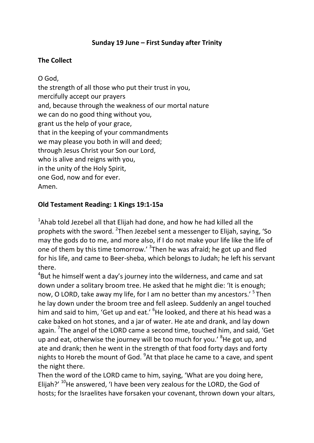# **Sunday 19 June – First Sunday after Trinity**

## **The Collect**

O God, the strength of all those who put their trust in you, mercifully accept our prayers and, because through the weakness of our mortal nature we can do no good thing without you, grant us the help of your grace, that in the keeping of your commandments we may please you both in will and deed; through Jesus Christ your Son our Lord, who is alive and reigns with you, in the unity of the Holy Spirit, one God, now and for ever. Amen.

## **Old Testament Reading: 1 Kings 19:1-15a**

<sup>1</sup>Ahab told Jezebel all that Elijah had done, and how he had killed all the prophets with the sword. <sup>2</sup>Then Jezebel sent a messenger to Elijah, saying, 'So may the gods do to me, and more also, if I do not make your life like the life of one of them by this time tomorrow.' <sup>3</sup>Then he was afraid; he got up and fled for his life, and came to Beer-sheba, which belongs to Judah; he left his servant there.

 ${}^{4}$ But he himself went a day's journey into the wilderness, and came and sat down under a solitary broom tree. He asked that he might die: 'It is enough; now, O LORD, take away my life, for I am no better than my ancestors.<sup>' 5</sup>Then he lay down under the broom tree and fell asleep. Suddenly an angel touched him and said to him, 'Get up and eat.' <sup>6</sup>He looked, and there at his head was a cake baked on hot stones, and a jar of water. He ate and drank, and lay down again. <sup>7</sup>The angel of the LORD came a second time, touched him, and said, 'Get up and eat, otherwise the journey will be too much for you.' <sup>8</sup>He got up, and ate and drank; then he went in the strength of that food forty days and forty nights to Horeb the mount of God. <sup>9</sup>At that place he came to a cave, and spent the night there.

Then the word of the LORD came to him, saying, 'What are you doing here, Elijah?'  $^{10}$ He answered, 'I have been very zealous for the LORD, the God of hosts; for the Israelites have forsaken your covenant, thrown down your altars,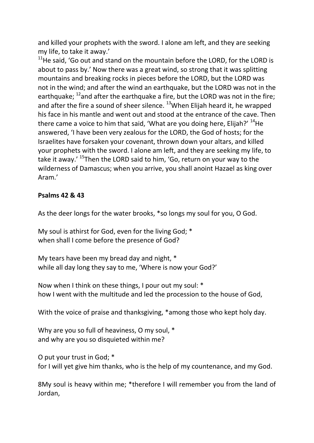and killed your prophets with the sword. I alone am left, and they are seeking my life, to take it away.'

 $11$ He said. 'Go out and stand on the mountain before the LORD, for the LORD is about to pass by.' Now there was a great wind, so strong that it was splitting mountains and breaking rocks in pieces before the LORD, but the LORD was not in the wind; and after the wind an earthquake, but the LORD was not in the earthquake;  $^{12}$  and after the earthquake a fire, but the LORD was not in the fire; and after the fire a sound of sheer silence.  $13$ When Elijah heard it, he wrapped his face in his mantle and went out and stood at the entrance of the cave. Then there came a voice to him that said, 'What are you doing here, Elijah?'  $^{14}$ He answered, 'I have been very zealous for the LORD, the God of hosts; for the Israelites have forsaken your covenant, thrown down your altars, and killed your prophets with the sword. I alone am left, and they are seeking my life, to take it away.' <sup>15</sup>Then the LORD said to him, 'Go, return on your way to the wilderness of Damascus; when you arrive, you shall anoint Hazael as king over Aram.'

## **Psalms 42 & 43**

As the deer longs for the water brooks, \*so longs my soul for you, O God.

My soul is athirst for God, even for the living God; \* when shall I come before the presence of God?

My tears have been my bread day and night, \* while all day long they say to me, 'Where is now your God?'

Now when I think on these things, I pour out my soul: \* how I went with the multitude and led the procession to the house of God,

With the voice of praise and thanksgiving, \*among those who kept holy day.

Why are you so full of heaviness, O my soul, \* and why are you so disquieted within me?

O put your trust in God; \* for I will yet give him thanks, who is the help of my countenance, and my God.

8My soul is heavy within me; \*therefore I will remember you from the land of Jordan,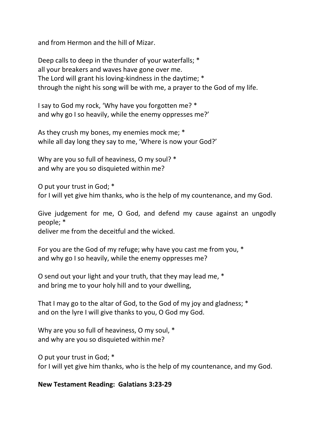and from Hermon and the hill of Mizar.

Deep calls to deep in the thunder of your waterfalls; \* all your breakers and waves have gone over me. The Lord will grant his loving-kindness in the daytime; \* through the night his song will be with me, a prayer to the God of my life.

I say to God my rock, 'Why have you forgotten me? \* and why go I so heavily, while the enemy oppresses me?'

As they crush my bones, my enemies mock me; \* while all day long they say to me, 'Where is now your God?'

Why are you so full of heaviness, O my soul? \* and why are you so disquieted within me?

O put your trust in God; \* for I will yet give him thanks, who is the help of my countenance, and my God.

Give judgement for me, O God, and defend my cause against an ungodly people; \*

deliver me from the deceitful and the wicked.

For you are the God of my refuge; why have you cast me from you, \* and why go I so heavily, while the enemy oppresses me?

O send out your light and your truth, that they may lead me, \* and bring me to your holy hill and to your dwelling,

That I may go to the altar of God, to the God of my joy and gladness; \* and on the lyre I will give thanks to you, O God my God.

Why are you so full of heaviness, O my soul, \* and why are you so disquieted within me?

O put your trust in God; \* for I will yet give him thanks, who is the help of my countenance, and my God.

### **New Testament Reading: Galatians 3:23-29**